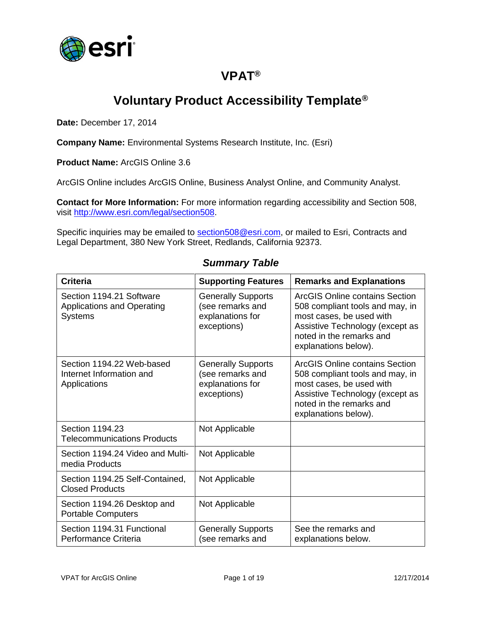

### **VPAT®**

# **Voluntary Product Accessibility Template®**

**Date:** December 17, 2014

**Company Name:** Environmental Systems Research Institute, Inc. (Esri)

**Product Name:** ArcGIS Online 3.6

ArcGIS Online includes ArcGIS Online, Business Analyst Online, and Community Analyst.

**Contact for More Information:** For more information regarding accessibility and Section 508, visit [http://www.esri.com/legal/section508.](http://www.esri.com/legal/section508)

Specific inquiries may be emailed to [section508@esri.com,](mailto:section508@esri.com) or mailed to Esri, Contracts and Legal Department, 380 New York Street, Redlands, California 92373.

| <b>Criteria</b>                                                                 | <b>Supporting Features</b>                                                       | <b>Remarks and Explanations</b>                                                                                                                                                             |
|---------------------------------------------------------------------------------|----------------------------------------------------------------------------------|---------------------------------------------------------------------------------------------------------------------------------------------------------------------------------------------|
| Section 1194.21 Software<br><b>Applications and Operating</b><br><b>Systems</b> | <b>Generally Supports</b><br>(see remarks and<br>explanations for<br>exceptions) | ArcGIS Online contains Section<br>508 compliant tools and may, in<br>most cases, be used with<br>Assistive Technology (except as<br>noted in the remarks and<br>explanations below).        |
| Section 1194.22 Web-based<br>Internet Information and<br>Applications           | <b>Generally Supports</b><br>(see remarks and<br>explanations for<br>exceptions) | <b>ArcGIS Online contains Section</b><br>508 compliant tools and may, in<br>most cases, be used with<br>Assistive Technology (except as<br>noted in the remarks and<br>explanations below). |
| Section 1194.23<br><b>Telecommunications Products</b>                           | Not Applicable                                                                   |                                                                                                                                                                                             |
| Section 1194.24 Video and Multi-<br>media Products                              | Not Applicable                                                                   |                                                                                                                                                                                             |
| Section 1194.25 Self-Contained,<br><b>Closed Products</b>                       | Not Applicable                                                                   |                                                                                                                                                                                             |
| Section 1194.26 Desktop and<br><b>Portable Computers</b>                        | Not Applicable                                                                   |                                                                                                                                                                                             |
| Section 1194.31 Functional<br>Performance Criteria                              | <b>Generally Supports</b><br>(see remarks and                                    | See the remarks and<br>explanations below.                                                                                                                                                  |

#### *Summary Table*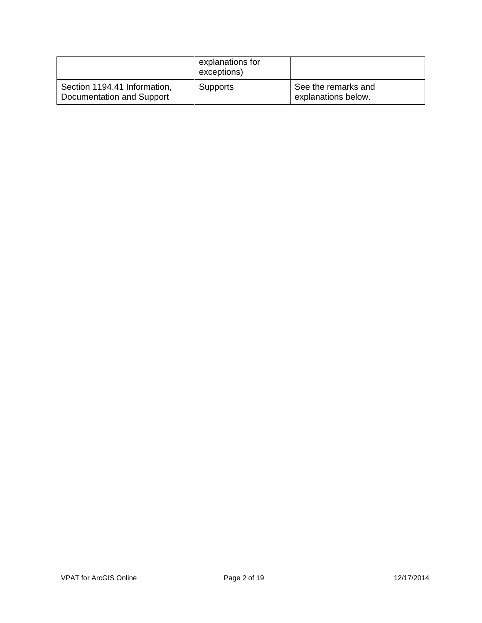|                                                           | explanations for<br>exceptions) |                                            |
|-----------------------------------------------------------|---------------------------------|--------------------------------------------|
| Section 1194.41 Information,<br>Documentation and Support | <b>Supports</b>                 | See the remarks and<br>explanations below. |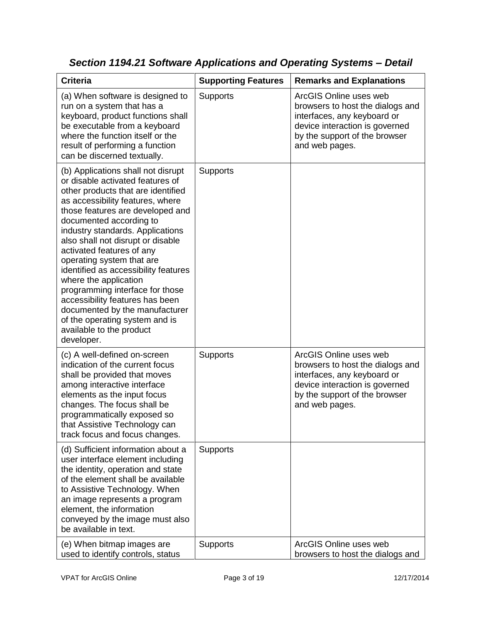| <b>Criteria</b>                                                                                                                                                                                                                                                                                                                                                                                                                                                                                                                                                                                         | <b>Supporting Features</b> | <b>Remarks and Explanations</b>                                                                                                                                                |
|---------------------------------------------------------------------------------------------------------------------------------------------------------------------------------------------------------------------------------------------------------------------------------------------------------------------------------------------------------------------------------------------------------------------------------------------------------------------------------------------------------------------------------------------------------------------------------------------------------|----------------------------|--------------------------------------------------------------------------------------------------------------------------------------------------------------------------------|
| (a) When software is designed to<br>run on a system that has a<br>keyboard, product functions shall<br>be executable from a keyboard<br>where the function itself or the<br>result of performing a function<br>can be discerned textually.                                                                                                                                                                                                                                                                                                                                                              | Supports                   | ArcGIS Online uses web<br>browsers to host the dialogs and<br>interfaces, any keyboard or<br>device interaction is governed<br>by the support of the browser<br>and web pages. |
| (b) Applications shall not disrupt<br>or disable activated features of<br>other products that are identified<br>as accessibility features, where<br>those features are developed and<br>documented according to<br>industry standards. Applications<br>also shall not disrupt or disable<br>activated features of any<br>operating system that are<br>identified as accessibility features<br>where the application<br>programming interface for those<br>accessibility features has been<br>documented by the manufacturer<br>of the operating system and is<br>available to the product<br>developer. | Supports                   |                                                                                                                                                                                |
| (c) A well-defined on-screen<br>indication of the current focus<br>shall be provided that moves<br>among interactive interface<br>elements as the input focus<br>changes. The focus shall be<br>programmatically exposed so<br>that Assistive Technology can<br>track focus and focus changes.                                                                                                                                                                                                                                                                                                          | Supports                   | ArcGIS Online uses web<br>browsers to host the dialogs and<br>interfaces, any keyboard or<br>device interaction is governed<br>by the support of the browser<br>and web pages. |
| (d) Sufficient information about a<br>user interface element including<br>the identity, operation and state<br>of the element shall be available<br>to Assistive Technology. When<br>an image represents a program<br>element, the information<br>conveyed by the image must also<br>be available in text.                                                                                                                                                                                                                                                                                              | <b>Supports</b>            |                                                                                                                                                                                |
| (e) When bitmap images are<br>used to identify controls, status                                                                                                                                                                                                                                                                                                                                                                                                                                                                                                                                         | <b>Supports</b>            | ArcGIS Online uses web<br>browsers to host the dialogs and                                                                                                                     |

*Section 1194.21 Software Applications and Operating Systems – Detail*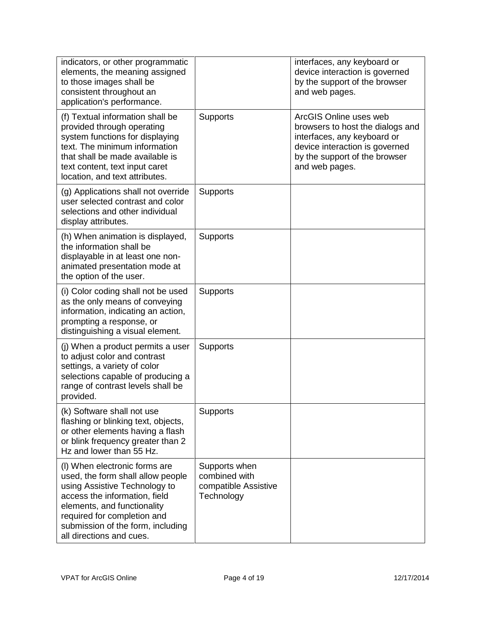| indicators, or other programmatic<br>elements, the meaning assigned<br>to those images shall be<br>consistent throughout an<br>application's performance.                                                                                                           |                                                                      | interfaces, any keyboard or<br>device interaction is governed<br>by the support of the browser<br>and web pages.                                                               |
|---------------------------------------------------------------------------------------------------------------------------------------------------------------------------------------------------------------------------------------------------------------------|----------------------------------------------------------------------|--------------------------------------------------------------------------------------------------------------------------------------------------------------------------------|
| (f) Textual information shall be<br>provided through operating<br>system functions for displaying<br>text. The minimum information<br>that shall be made available is<br>text content, text input caret<br>location, and text attributes.                           | <b>Supports</b>                                                      | ArcGIS Online uses web<br>browsers to host the dialogs and<br>interfaces, any keyboard or<br>device interaction is governed<br>by the support of the browser<br>and web pages. |
| (g) Applications shall not override<br>user selected contrast and color<br>selections and other individual<br>display attributes.                                                                                                                                   | Supports                                                             |                                                                                                                                                                                |
| (h) When animation is displayed,<br>the information shall be<br>displayable in at least one non-<br>animated presentation mode at<br>the option of the user.                                                                                                        | <b>Supports</b>                                                      |                                                                                                                                                                                |
| (i) Color coding shall not be used<br>as the only means of conveying<br>information, indicating an action,<br>prompting a response, or<br>distinguishing a visual element.                                                                                          | <b>Supports</b>                                                      |                                                                                                                                                                                |
| (j) When a product permits a user<br>to adjust color and contrast<br>settings, a variety of color<br>selections capable of producing a<br>range of contrast levels shall be<br>provided.                                                                            | <b>Supports</b>                                                      |                                                                                                                                                                                |
| (k) Software shall not use<br>flashing or blinking text, objects,<br>or other elements having a flash<br>or blink frequency greater than 2<br>Hz and lower than 55 Hz.                                                                                              | Supports                                                             |                                                                                                                                                                                |
| (I) When electronic forms are<br>used, the form shall allow people<br>using Assistive Technology to<br>access the information, field<br>elements, and functionality<br>required for completion and<br>submission of the form, including<br>all directions and cues. | Supports when<br>combined with<br>compatible Assistive<br>Technology |                                                                                                                                                                                |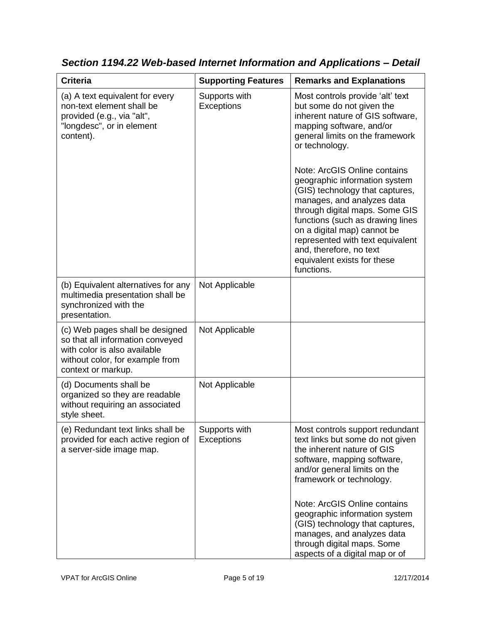| <b>Criteria</b>                                                                                                                                              | <b>Supporting Features</b>         | <b>Remarks and Explanations</b>                                                                                                                                                                                                                                                                                                                                                                                                                                                                                                       |
|--------------------------------------------------------------------------------------------------------------------------------------------------------------|------------------------------------|---------------------------------------------------------------------------------------------------------------------------------------------------------------------------------------------------------------------------------------------------------------------------------------------------------------------------------------------------------------------------------------------------------------------------------------------------------------------------------------------------------------------------------------|
| (a) A text equivalent for every<br>non-text element shall be<br>provided (e.g., via "alt",<br>"longdesc", or in element<br>content).                         | Supports with<br><b>Exceptions</b> | Most controls provide 'alt' text<br>but some do not given the<br>inherent nature of GIS software,<br>mapping software, and/or<br>general limits on the framework<br>or technology.<br>Note: ArcGIS Online contains<br>geographic information system<br>(GIS) technology that captures,<br>manages, and analyzes data<br>through digital maps. Some GIS<br>functions (such as drawing lines<br>on a digital map) cannot be<br>represented with text equivalent<br>and, therefore, no text<br>equivalent exists for these<br>functions. |
| (b) Equivalent alternatives for any<br>multimedia presentation shall be<br>synchronized with the<br>presentation.                                            | Not Applicable                     |                                                                                                                                                                                                                                                                                                                                                                                                                                                                                                                                       |
| (c) Web pages shall be designed<br>so that all information conveyed<br>with color is also available<br>without color, for example from<br>context or markup. | Not Applicable                     |                                                                                                                                                                                                                                                                                                                                                                                                                                                                                                                                       |
| (d) Documents shall be<br>organized so they are readable<br>without requiring an associated<br>style sheet.                                                  | Not Applicable                     |                                                                                                                                                                                                                                                                                                                                                                                                                                                                                                                                       |
| (e) Redundant text links shall be<br>provided for each active region of<br>a server-side image map.                                                          | Supports with<br>Exceptions        | Most controls support redundant<br>text links but some do not given<br>the inherent nature of GIS<br>software, mapping software,<br>and/or general limits on the<br>framework or technology.                                                                                                                                                                                                                                                                                                                                          |
|                                                                                                                                                              |                                    | Note: ArcGIS Online contains<br>geographic information system<br>(GIS) technology that captures,<br>manages, and analyzes data<br>through digital maps. Some<br>aspects of a digital map or of                                                                                                                                                                                                                                                                                                                                        |

*Section 1194.22 Web-based Internet Information and Applications – Detail*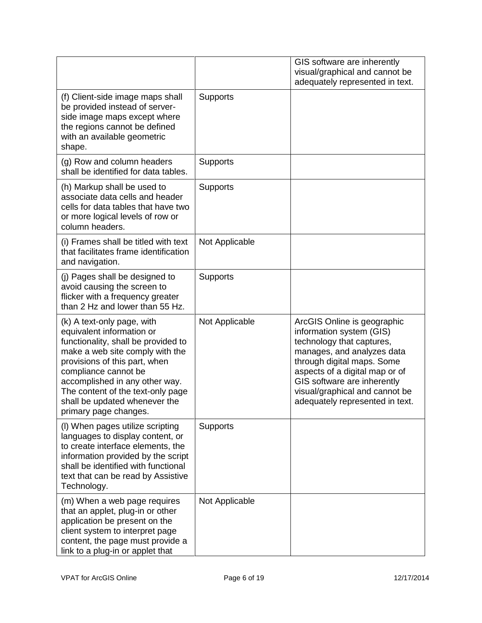|                                                                                                                                                                                                                                                                                                                             |                 | GIS software are inherently<br>visual/graphical and cannot be<br>adequately represented in text.                                                                                                                                                                                       |
|-----------------------------------------------------------------------------------------------------------------------------------------------------------------------------------------------------------------------------------------------------------------------------------------------------------------------------|-----------------|----------------------------------------------------------------------------------------------------------------------------------------------------------------------------------------------------------------------------------------------------------------------------------------|
| (f) Client-side image maps shall<br>be provided instead of server-<br>side image maps except where<br>the regions cannot be defined<br>with an available geometric<br>shape.                                                                                                                                                | <b>Supports</b> |                                                                                                                                                                                                                                                                                        |
| (g) Row and column headers<br>shall be identified for data tables.                                                                                                                                                                                                                                                          | Supports        |                                                                                                                                                                                                                                                                                        |
| (h) Markup shall be used to<br>associate data cells and header<br>cells for data tables that have two<br>or more logical levels of row or<br>column headers.                                                                                                                                                                | <b>Supports</b> |                                                                                                                                                                                                                                                                                        |
| (i) Frames shall be titled with text<br>that facilitates frame identification<br>and navigation.                                                                                                                                                                                                                            | Not Applicable  |                                                                                                                                                                                                                                                                                        |
| (j) Pages shall be designed to<br>avoid causing the screen to<br>flicker with a frequency greater<br>than 2 Hz and lower than 55 Hz.                                                                                                                                                                                        | <b>Supports</b> |                                                                                                                                                                                                                                                                                        |
| (k) A text-only page, with<br>equivalent information or<br>functionality, shall be provided to<br>make a web site comply with the<br>provisions of this part, when<br>compliance cannot be<br>accomplished in any other way.<br>The content of the text-only page<br>shall be updated whenever the<br>primary page changes. | Not Applicable  | ArcGIS Online is geographic<br>information system (GIS)<br>technology that captures,<br>manages, and analyzes data<br>through digital maps. Some<br>aspects of a digital map or of<br>GIS software are inherently<br>visual/graphical and cannot be<br>adequately represented in text. |
| (I) When pages utilize scripting<br>languages to display content, or<br>to create interface elements, the<br>information provided by the script<br>shall be identified with functional<br>text that can be read by Assistive<br>Technology.                                                                                 | <b>Supports</b> |                                                                                                                                                                                                                                                                                        |
| (m) When a web page requires<br>that an applet, plug-in or other<br>application be present on the<br>client system to interpret page<br>content, the page must provide a<br>link to a plug-in or applet that                                                                                                                | Not Applicable  |                                                                                                                                                                                                                                                                                        |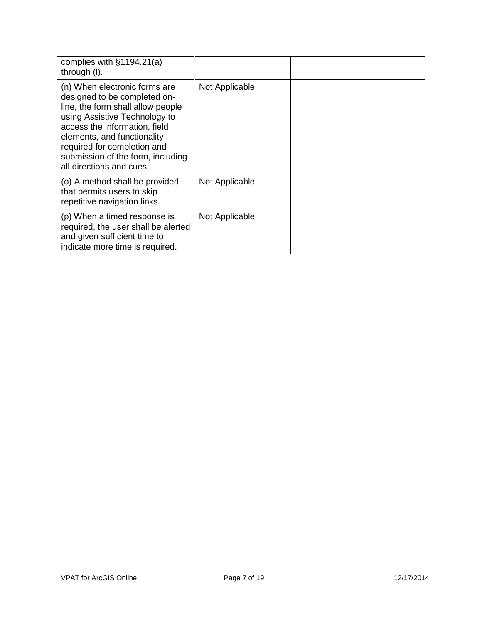| complies with $§1194.21(a)$<br>through (I).                                                                                                                                                                                                                                                         |                |  |
|-----------------------------------------------------------------------------------------------------------------------------------------------------------------------------------------------------------------------------------------------------------------------------------------------------|----------------|--|
| (n) When electronic forms are<br>designed to be completed on-<br>line, the form shall allow people<br>using Assistive Technology to<br>access the information, field<br>elements, and functionality<br>required for completion and<br>submission of the form, including<br>all directions and cues. | Not Applicable |  |
| (o) A method shall be provided<br>that permits users to skip<br>repetitive navigation links.                                                                                                                                                                                                        | Not Applicable |  |
| (p) When a timed response is<br>required, the user shall be alerted<br>and given sufficient time to<br>indicate more time is required.                                                                                                                                                              | Not Applicable |  |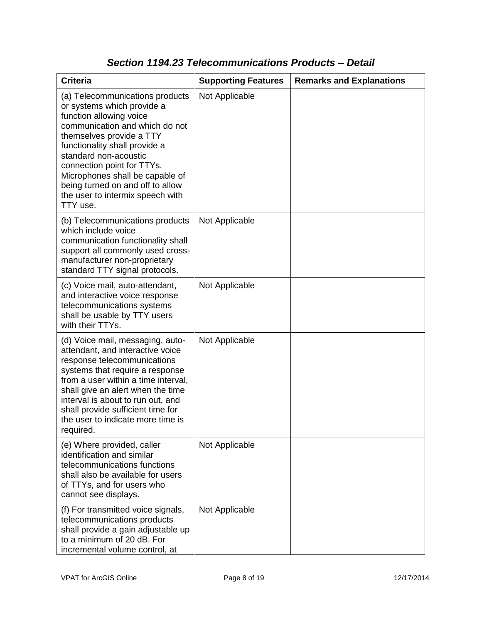| <b>Criteria</b>                                                                                                                                                                                                                                                                                                                                                       | <b>Supporting Features</b> | <b>Remarks and Explanations</b> |
|-----------------------------------------------------------------------------------------------------------------------------------------------------------------------------------------------------------------------------------------------------------------------------------------------------------------------------------------------------------------------|----------------------------|---------------------------------|
| (a) Telecommunications products<br>or systems which provide a<br>function allowing voice<br>communication and which do not<br>themselves provide a TTY<br>functionality shall provide a<br>standard non-acoustic<br>connection point for TTYs.<br>Microphones shall be capable of<br>being turned on and off to allow<br>the user to intermix speech with<br>TTY use. | Not Applicable             |                                 |
| (b) Telecommunications products<br>which include voice<br>communication functionality shall<br>support all commonly used cross-<br>manufacturer non-proprietary<br>standard TTY signal protocols.                                                                                                                                                                     | Not Applicable             |                                 |
| (c) Voice mail, auto-attendant,<br>and interactive voice response<br>telecommunications systems<br>shall be usable by TTY users<br>with their TTYs.                                                                                                                                                                                                                   | Not Applicable             |                                 |
| (d) Voice mail, messaging, auto-<br>attendant, and interactive voice<br>response telecommunications<br>systems that require a response<br>from a user within a time interval,<br>shall give an alert when the time<br>interval is about to run out, and<br>shall provide sufficient time for<br>the user to indicate more time is<br>required.                        | Not Applicable             |                                 |
| (e) Where provided, caller<br>identification and similar<br>telecommunications functions<br>shall also be available for users<br>of TTYs, and for users who<br>cannot see displays.                                                                                                                                                                                   | Not Applicable             |                                 |
| (f) For transmitted voice signals,<br>telecommunications products<br>shall provide a gain adjustable up<br>to a minimum of 20 dB. For<br>incremental volume control, at                                                                                                                                                                                               | Not Applicable             |                                 |

### *Section 1194.23 Telecommunications Products – Detail*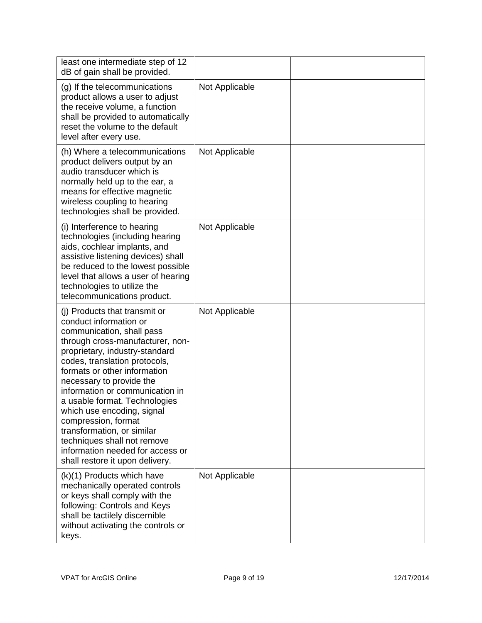| least one intermediate step of 12<br>dB of gain shall be provided.                                                                                                                                                                                                                                                                                                                                                                                                                                                   |                |  |
|----------------------------------------------------------------------------------------------------------------------------------------------------------------------------------------------------------------------------------------------------------------------------------------------------------------------------------------------------------------------------------------------------------------------------------------------------------------------------------------------------------------------|----------------|--|
| (g) If the telecommunications<br>product allows a user to adjust<br>the receive volume, a function<br>shall be provided to automatically<br>reset the volume to the default<br>level after every use.                                                                                                                                                                                                                                                                                                                | Not Applicable |  |
| (h) Where a telecommunications<br>product delivers output by an<br>audio transducer which is<br>normally held up to the ear, a<br>means for effective magnetic<br>wireless coupling to hearing<br>technologies shall be provided.                                                                                                                                                                                                                                                                                    | Not Applicable |  |
| (i) Interference to hearing<br>technologies (including hearing<br>aids, cochlear implants, and<br>assistive listening devices) shall<br>be reduced to the lowest possible<br>level that allows a user of hearing<br>technologies to utilize the<br>telecommunications product.                                                                                                                                                                                                                                       | Not Applicable |  |
| (i) Products that transmit or<br>conduct information or<br>communication, shall pass<br>through cross-manufacturer, non-<br>proprietary, industry-standard<br>codes, translation protocols,<br>formats or other information<br>necessary to provide the<br>information or communication in<br>a usable format. Technologies<br>which use encoding, signal<br>compression, format<br>transformation, or similar<br>techniques shall not remove<br>information needed for access or<br>shall restore it upon delivery. | Not Applicable |  |
| (k)(1) Products which have<br>mechanically operated controls<br>or keys shall comply with the<br>following: Controls and Keys<br>shall be tactilely discernible<br>without activating the controls or<br>keys.                                                                                                                                                                                                                                                                                                       | Not Applicable |  |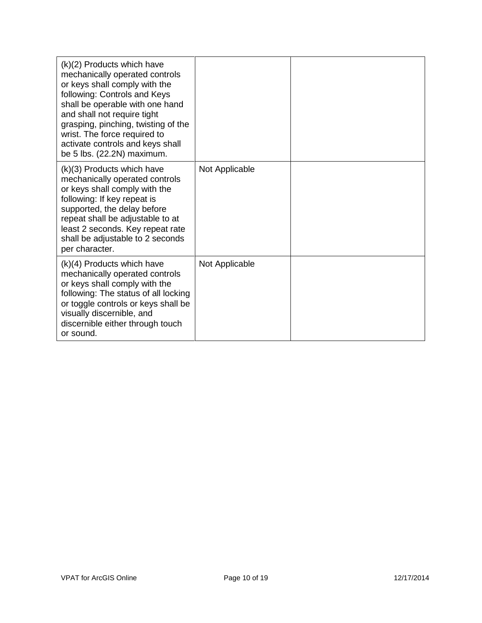| $(k)(2)$ Products which have<br>mechanically operated controls<br>or keys shall comply with the<br>following: Controls and Keys<br>shall be operable with one hand<br>and shall not require tight<br>grasping, pinching, twisting of the<br>wrist. The force required to<br>activate controls and keys shall<br>be 5 lbs. (22.2N) maximum. |                |  |
|--------------------------------------------------------------------------------------------------------------------------------------------------------------------------------------------------------------------------------------------------------------------------------------------------------------------------------------------|----------------|--|
| (k)(3) Products which have<br>mechanically operated controls<br>or keys shall comply with the<br>following: If key repeat is<br>supported, the delay before<br>repeat shall be adjustable to at<br>least 2 seconds. Key repeat rate<br>shall be adjustable to 2 seconds<br>per character.                                                  | Not Applicable |  |
| $(k)(4)$ Products which have<br>mechanically operated controls<br>or keys shall comply with the<br>following: The status of all locking<br>or toggle controls or keys shall be<br>visually discernible, and<br>discernible either through touch<br>or sound.                                                                               | Not Applicable |  |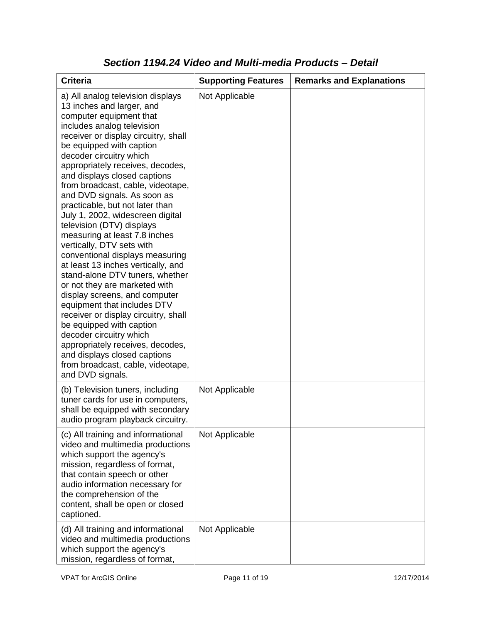| <b>Criteria</b>                                                                                                                                                                                                                                                                                                                                                                                                                                                                                                                                                                                                                                                                                                                                                                                                                                                                                                                                                           | <b>Supporting Features</b> | <b>Remarks and Explanations</b> |
|---------------------------------------------------------------------------------------------------------------------------------------------------------------------------------------------------------------------------------------------------------------------------------------------------------------------------------------------------------------------------------------------------------------------------------------------------------------------------------------------------------------------------------------------------------------------------------------------------------------------------------------------------------------------------------------------------------------------------------------------------------------------------------------------------------------------------------------------------------------------------------------------------------------------------------------------------------------------------|----------------------------|---------------------------------|
| a) All analog television displays<br>13 inches and larger, and<br>computer equipment that<br>includes analog television<br>receiver or display circuitry, shall<br>be equipped with caption<br>decoder circuitry which<br>appropriately receives, decodes,<br>and displays closed captions<br>from broadcast, cable, videotape,<br>and DVD signals. As soon as<br>practicable, but not later than<br>July 1, 2002, widescreen digital<br>television (DTV) displays<br>measuring at least 7.8 inches<br>vertically, DTV sets with<br>conventional displays measuring<br>at least 13 inches vertically, and<br>stand-alone DTV tuners, whether<br>or not they are marketed with<br>display screens, and computer<br>equipment that includes DTV<br>receiver or display circuitry, shall<br>be equipped with caption<br>decoder circuitry which<br>appropriately receives, decodes,<br>and displays closed captions<br>from broadcast, cable, videotape,<br>and DVD signals. | Not Applicable             |                                 |
| (b) Television tuners, including<br>tuner cards for use in computers,<br>shall be equipped with secondary<br>audio program playback circuitry.                                                                                                                                                                                                                                                                                                                                                                                                                                                                                                                                                                                                                                                                                                                                                                                                                            | Not Applicable             |                                 |
| (c) All training and informational<br>video and multimedia productions<br>which support the agency's<br>mission, regardless of format,<br>that contain speech or other<br>audio information necessary for<br>the comprehension of the<br>content, shall be open or closed<br>captioned.                                                                                                                                                                                                                                                                                                                                                                                                                                                                                                                                                                                                                                                                                   | Not Applicable             |                                 |
| (d) All training and informational<br>video and multimedia productions<br>which support the agency's<br>mission, regardless of format,                                                                                                                                                                                                                                                                                                                                                                                                                                                                                                                                                                                                                                                                                                                                                                                                                                    | Not Applicable             |                                 |

### *Section 1194.24 Video and Multi-media Products – Detail*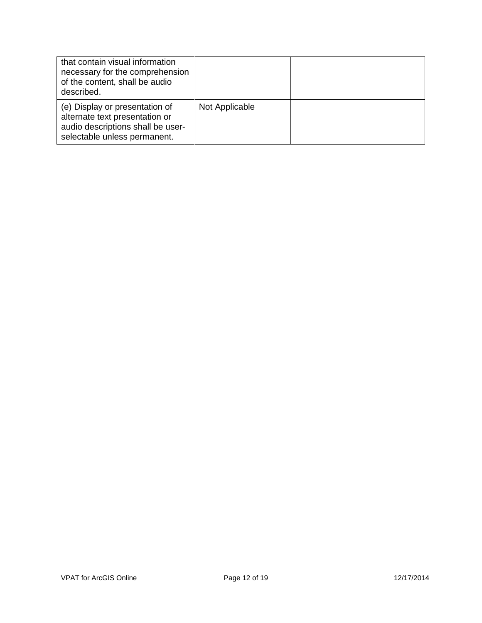| that contain visual information<br>necessary for the comprehension<br>of the content, shall be audio<br>described.                    |                |  |
|---------------------------------------------------------------------------------------------------------------------------------------|----------------|--|
| (e) Display or presentation of<br>alternate text presentation or<br>audio descriptions shall be user-<br>selectable unless permanent. | Not Applicable |  |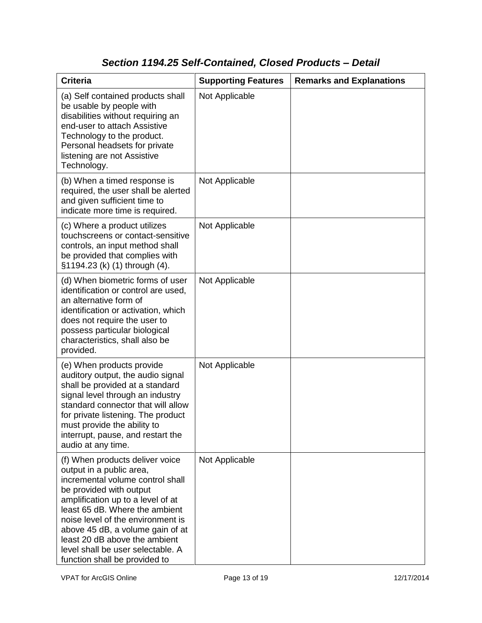# *Section 1194.25 Self-Contained, Closed Products – Detail*

| <b>Criteria</b>                                                                                                                                                                                                                                                                                                                                                                   | <b>Supporting Features</b> | <b>Remarks and Explanations</b> |
|-----------------------------------------------------------------------------------------------------------------------------------------------------------------------------------------------------------------------------------------------------------------------------------------------------------------------------------------------------------------------------------|----------------------------|---------------------------------|
| (a) Self contained products shall<br>be usable by people with<br>disabilities without requiring an<br>end-user to attach Assistive<br>Technology to the product.<br>Personal headsets for private<br>listening are not Assistive<br>Technology.                                                                                                                                   | Not Applicable             |                                 |
| (b) When a timed response is<br>required, the user shall be alerted<br>and given sufficient time to<br>indicate more time is required.                                                                                                                                                                                                                                            | Not Applicable             |                                 |
| (c) Where a product utilizes<br>touchscreens or contact-sensitive<br>controls, an input method shall<br>be provided that complies with<br>§1194.23 (k) (1) through (4).                                                                                                                                                                                                           | Not Applicable             |                                 |
| (d) When biometric forms of user<br>identification or control are used,<br>an alternative form of<br>identification or activation, which<br>does not require the user to<br>possess particular biological<br>characteristics, shall also be<br>provided.                                                                                                                          | Not Applicable             |                                 |
| (e) When products provide<br>auditory output, the audio signal<br>shall be provided at a standard<br>signal level through an industry<br>standard connector that will allow<br>for private listening. The product<br>must provide the ability to<br>interrupt, pause, and restart the<br>audio at any time.                                                                       | Not Applicable             |                                 |
| (f) When products deliver voice<br>output in a public area,<br>incremental volume control shall<br>be provided with output<br>amplification up to a level of at<br>least 65 dB. Where the ambient<br>noise level of the environment is<br>above 45 dB, a volume gain of at<br>least 20 dB above the ambient<br>level shall be user selectable. A<br>function shall be provided to | Not Applicable             |                                 |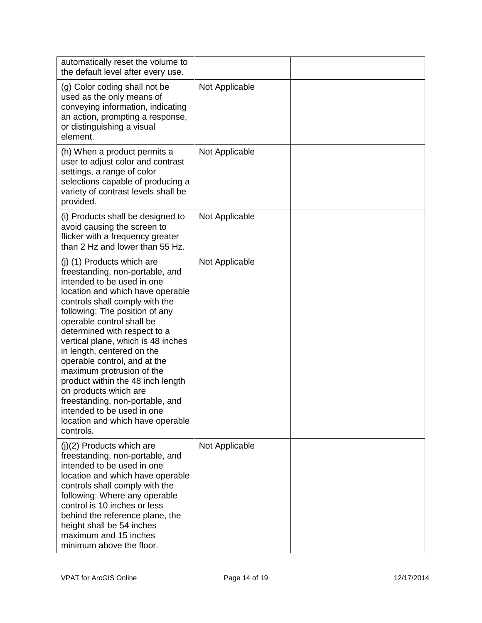| automatically reset the volume to<br>the default level after every use.                                                                                                                                                                                                                                                                                                                                                                                                                                                                                                           |                |  |
|-----------------------------------------------------------------------------------------------------------------------------------------------------------------------------------------------------------------------------------------------------------------------------------------------------------------------------------------------------------------------------------------------------------------------------------------------------------------------------------------------------------------------------------------------------------------------------------|----------------|--|
| (g) Color coding shall not be<br>used as the only means of<br>conveying information, indicating<br>an action, prompting a response,<br>or distinguishing a visual<br>element.                                                                                                                                                                                                                                                                                                                                                                                                     | Not Applicable |  |
| (h) When a product permits a<br>user to adjust color and contrast<br>settings, a range of color<br>selections capable of producing a<br>variety of contrast levels shall be<br>provided.                                                                                                                                                                                                                                                                                                                                                                                          | Not Applicable |  |
| (i) Products shall be designed to<br>avoid causing the screen to<br>flicker with a frequency greater<br>than 2 Hz and lower than 55 Hz.                                                                                                                                                                                                                                                                                                                                                                                                                                           | Not Applicable |  |
| (j) (1) Products which are<br>freestanding, non-portable, and<br>intended to be used in one<br>location and which have operable<br>controls shall comply with the<br>following: The position of any<br>operable control shall be<br>determined with respect to a<br>vertical plane, which is 48 inches<br>in length, centered on the<br>operable control, and at the<br>maximum protrusion of the<br>product within the 48 inch length<br>on products which are<br>freestanding, non-portable, and<br>intended to be used in one<br>location and which have operable<br>controls. | Not Applicable |  |
| $(j)(2)$ Products which are<br>freestanding, non-portable, and<br>intended to be used in one<br>location and which have operable<br>controls shall comply with the<br>following: Where any operable<br>control is 10 inches or less<br>behind the reference plane, the<br>height shall be 54 inches<br>maximum and 15 inches<br>minimum above the floor.                                                                                                                                                                                                                          | Not Applicable |  |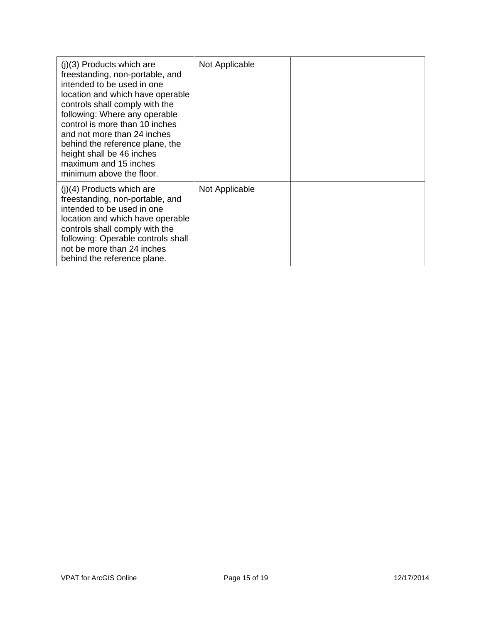| $(i)(3)$ Products which are<br>freestanding, non-portable, and<br>intended to be used in one<br>location and which have operable<br>controls shall comply with the<br>following: Where any operable<br>control is more than 10 inches<br>and not more than 24 inches<br>behind the reference plane, the<br>height shall be 46 inches<br>maximum and 15 inches<br>minimum above the floor. | Not Applicable |  |
|-------------------------------------------------------------------------------------------------------------------------------------------------------------------------------------------------------------------------------------------------------------------------------------------------------------------------------------------------------------------------------------------|----------------|--|
| $(i)(4)$ Products which are<br>freestanding, non-portable, and<br>intended to be used in one<br>location and which have operable<br>controls shall comply with the<br>following: Operable controls shall<br>not be more than 24 inches<br>behind the reference plane.                                                                                                                     | Not Applicable |  |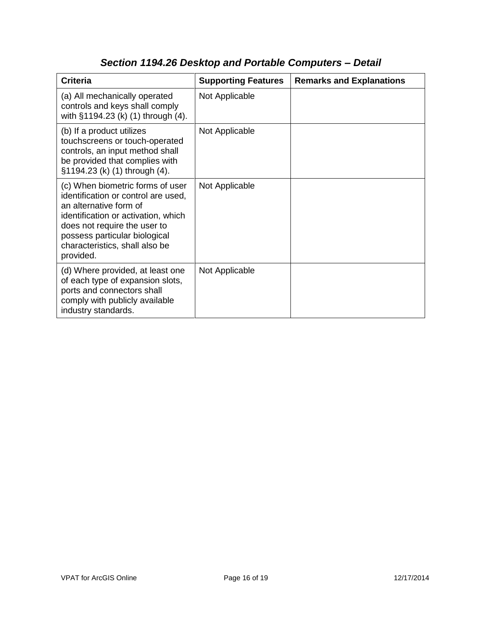| <b>Criteria</b>                                                                                                                                                                                                                                          | <b>Supporting Features</b> | <b>Remarks and Explanations</b> |
|----------------------------------------------------------------------------------------------------------------------------------------------------------------------------------------------------------------------------------------------------------|----------------------------|---------------------------------|
| (a) All mechanically operated<br>controls and keys shall comply<br>with §1194.23 (k) (1) through (4).                                                                                                                                                    | Not Applicable             |                                 |
| (b) If a product utilizes<br>touchscreens or touch-operated<br>controls, an input method shall<br>be provided that complies with<br>§1194.23 (k) (1) through (4).                                                                                        | Not Applicable             |                                 |
| (c) When biometric forms of user<br>identification or control are used,<br>an alternative form of<br>identification or activation, which<br>does not require the user to<br>possess particular biological<br>characteristics, shall also be<br>provided. | Not Applicable             |                                 |
| (d) Where provided, at least one<br>of each type of expansion slots,<br>ports and connectors shall<br>comply with publicly available<br>industry standards.                                                                                              | Not Applicable             |                                 |

## *Section 1194.26 Desktop and Portable Computers – Detail*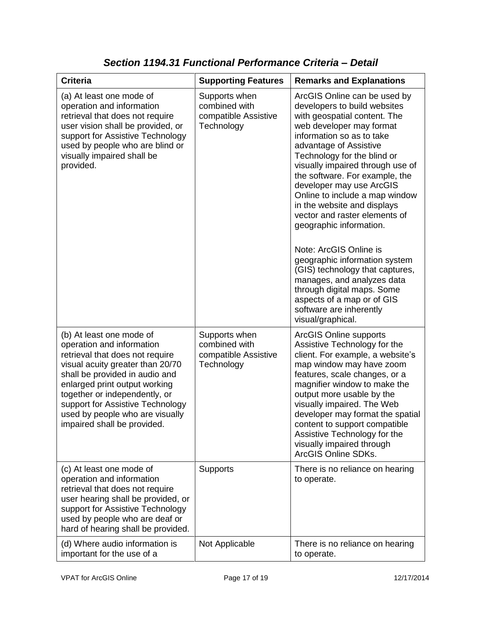| <b>Criteria</b>                                                                                                                                                                                                                                                                                                                        | <b>Supporting Features</b>                                           | <b>Remarks and Explanations</b>                                                                                                                                                                                                                                                                                                                                                                                                                                                                                                                                                                                                                                                       |
|----------------------------------------------------------------------------------------------------------------------------------------------------------------------------------------------------------------------------------------------------------------------------------------------------------------------------------------|----------------------------------------------------------------------|---------------------------------------------------------------------------------------------------------------------------------------------------------------------------------------------------------------------------------------------------------------------------------------------------------------------------------------------------------------------------------------------------------------------------------------------------------------------------------------------------------------------------------------------------------------------------------------------------------------------------------------------------------------------------------------|
| (a) At least one mode of<br>operation and information<br>retrieval that does not require<br>user vision shall be provided, or<br>support for Assistive Technology<br>used by people who are blind or<br>visually impaired shall be<br>provided.                                                                                        | Supports when<br>combined with<br>compatible Assistive<br>Technology | ArcGIS Online can be used by<br>developers to build websites<br>with geospatial content. The<br>web developer may format<br>information so as to take<br>advantage of Assistive<br>Technology for the blind or<br>visually impaired through use of<br>the software. For example, the<br>developer may use ArcGIS<br>Online to include a map window<br>in the website and displays<br>vector and raster elements of<br>geographic information.<br>Note: ArcGIS Online is<br>geographic information system<br>(GIS) technology that captures,<br>manages, and analyzes data<br>through digital maps. Some<br>aspects of a map or of GIS<br>software are inherently<br>visual/graphical. |
| (b) At least one mode of<br>operation and information<br>retrieval that does not require<br>visual acuity greater than 20/70<br>shall be provided in audio and<br>enlarged print output working<br>together or independently, or<br>support for Assistive Technology<br>used by people who are visually<br>impaired shall be provided. | Supports when<br>combined with<br>compatible Assistive<br>Technology | <b>ArcGIS Online supports</b><br>Assistive Technology for the<br>client. For example, a website's<br>map window may have zoom<br>features, scale changes, or a<br>magnifier window to make the<br>output more usable by the<br>visually impaired. The Web<br>developer may format the spatial<br>content to support compatible<br>Assistive Technology for the<br>visually impaired through<br><b>ArcGIS Online SDKs.</b>                                                                                                                                                                                                                                                             |
| (c) At least one mode of<br>operation and information<br>retrieval that does not require<br>user hearing shall be provided, or<br>support for Assistive Technology<br>used by people who are deaf or<br>hard of hearing shall be provided.                                                                                             | <b>Supports</b>                                                      | There is no reliance on hearing<br>to operate.                                                                                                                                                                                                                                                                                                                                                                                                                                                                                                                                                                                                                                        |
| (d) Where audio information is<br>important for the use of a                                                                                                                                                                                                                                                                           | Not Applicable                                                       | There is no reliance on hearing<br>to operate.                                                                                                                                                                                                                                                                                                                                                                                                                                                                                                                                                                                                                                        |

*Section 1194.31 Functional Performance Criteria – Detail*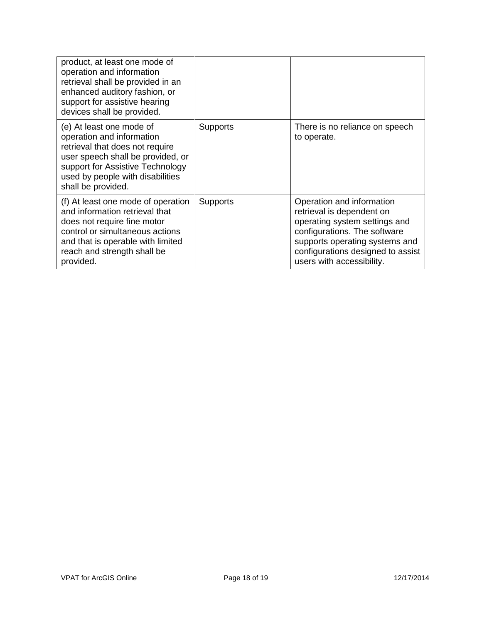| product, at least one mode of<br>operation and information<br>retrieval shall be provided in an<br>enhanced auditory fashion, or<br>support for assistive hearing<br>devices shall be provided.                             |                 |                                                                                                                                                                                                                             |
|-----------------------------------------------------------------------------------------------------------------------------------------------------------------------------------------------------------------------------|-----------------|-----------------------------------------------------------------------------------------------------------------------------------------------------------------------------------------------------------------------------|
| (e) At least one mode of<br>operation and information<br>retrieval that does not require<br>user speech shall be provided, or<br>support for Assistive Technology<br>used by people with disabilities<br>shall be provided. | <b>Supports</b> | There is no reliance on speech<br>to operate.                                                                                                                                                                               |
| (f) At least one mode of operation<br>and information retrieval that<br>does not require fine motor<br>control or simultaneous actions<br>and that is operable with limited<br>reach and strength shall be<br>provided.     | <b>Supports</b> | Operation and information<br>retrieval is dependent on<br>operating system settings and<br>configurations. The software<br>supports operating systems and<br>configurations designed to assist<br>users with accessibility. |